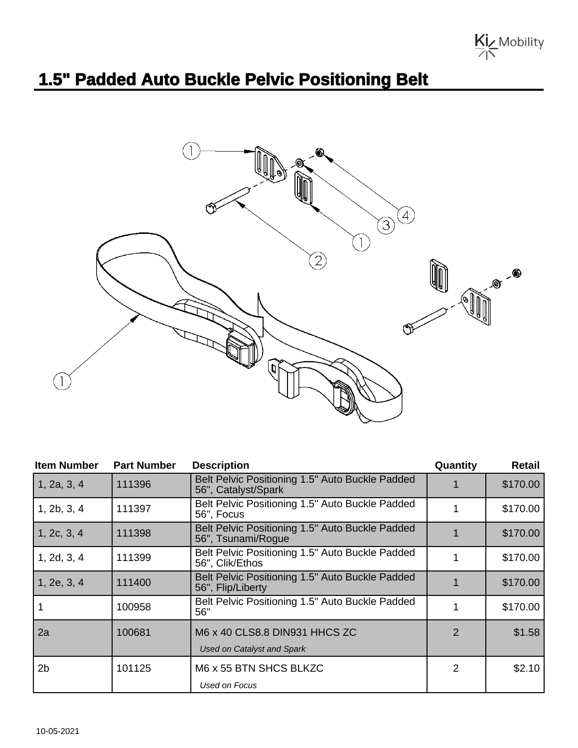

## **1.5" Padded Auto Buckle Pelvic Positioning Belt**



| <b>Item Number</b> | <b>Part Number</b> | <b>Description</b>                                                     | Quantity       | <b>Retail</b> |
|--------------------|--------------------|------------------------------------------------------------------------|----------------|---------------|
| 1, 2a, 3, 4        | 111396             | Belt Pelvic Positioning 1.5" Auto Buckle Padded<br>56", Catalyst/Spark |                | \$170.00      |
| 1, 2b, 3, 4        | 111397             | Belt Pelvic Positioning 1.5" Auto Buckle Padded<br>56", Focus          |                | \$170.00      |
| 1, 2c, 3, 4        | 111398             | Belt Pelvic Positioning 1.5" Auto Buckle Padded<br>56", Tsunami/Rogue  |                | \$170.00      |
| 1, 2d, 3, 4        | 111399             | Belt Pelvic Positioning 1.5" Auto Buckle Padded<br>56", Clik/Ethos     |                | \$170.00      |
| 1, 2e, 3, 4        | 111400             | Belt Pelvic Positioning 1.5" Auto Buckle Padded<br>56", Flip/Liberty   |                | \$170.00      |
|                    | 100958             | Belt Pelvic Positioning 1.5" Auto Buckle Padded<br>56"                 |                | \$170.00      |
| 2a                 | 100681             | M6 x 40 CLS8.8 DIN931 HHCS ZC<br><b>Used on Catalyst and Spark</b>     | $\overline{2}$ | \$1.58        |
| 2 <sub>b</sub>     | 101125             | M6 x 55 BTN SHCS BLKZC<br>Used on Focus                                | 2              | \$2.10        |